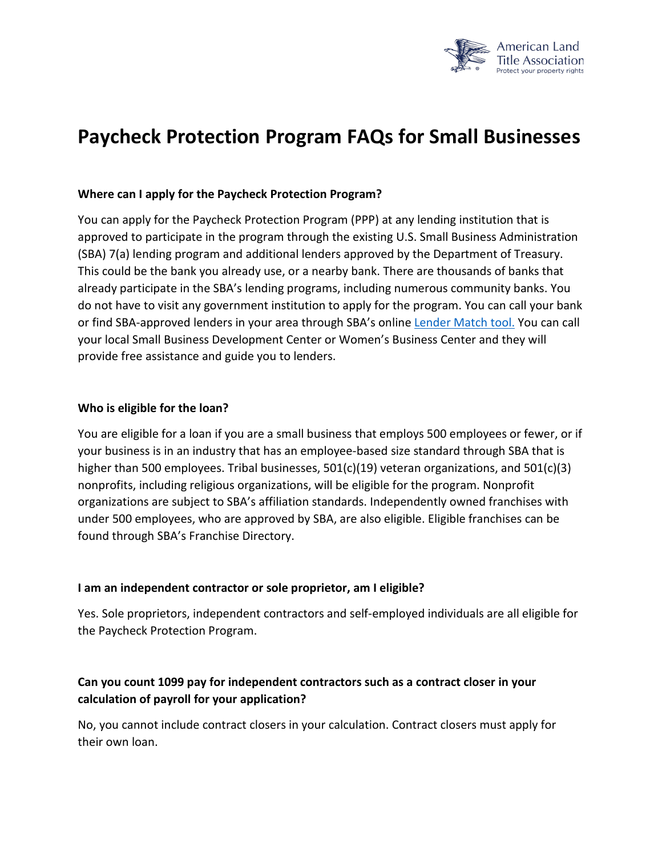

# **Paycheck Protection Program FAQs for Small Businesses**

#### **Where can I apply for the Paycheck Protection Program?**

You can apply for the Paycheck Protection Program (PPP) at any lending institution that is approved to participate in the program through the existing U.S. Small Business Administration (SBA) 7(a) lending program and additional lenders approved by the Department of Treasury. This could be the bank you already use, or a nearby bank. There are thousands of banks that already participate in the SBA's lending programs, including numerous community banks. You do not have to visit any government institution to apply for the program. You can call your bank or find SBA-approved lenders in your area through SBA's online [Lender Match tool.](https://www.sba.gov/paycheckprotection/find) You can call your local Small Business Development Center or Women's Business Center and they will provide free assistance and guide you to lenders.

#### **Who is eligible for the loan?**

You are eligible for a loan if you are a small business that employs 500 employees or fewer, or if your business is in an industry that has an employee-based size standard through SBA that is higher than 500 employees. Tribal businesses, 501(c)(19) veteran organizations, and 501(c)(3) nonprofits, including religious organizations, will be eligible for the program. Nonprofit organizations are subject to SBA's affiliation standards. Independently owned franchises with under 500 employees, who are approved by SBA, are also eligible. Eligible franchises can be found through SBA's Franchise Directory.

#### **I am an independent contractor or sole proprietor, am I eligible?**

Yes. Sole proprietors, independent contractors and self-employed individuals are all eligible for the Paycheck Protection Program.

## **Can you count 1099 pay for independent contractors such as a contract closer in your calculation of payroll for your application?**

No, you cannot include contract closers in your calculation. Contract closers must apply for their own loan.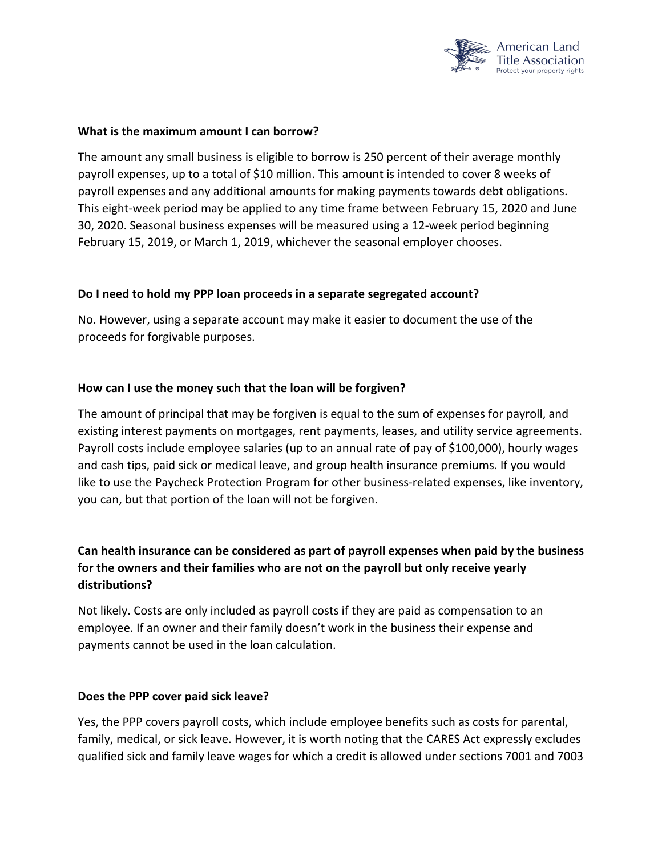

#### **What is the maximum amount I can borrow?**

The amount any small business is eligible to borrow is 250 percent of their average monthly payroll expenses, up to a total of \$10 million. This amount is intended to cover 8 weeks of payroll expenses and any additional amounts for making payments towards debt obligations. This eight-week period may be applied to any time frame between February 15, 2020 and June 30, 2020. Seasonal business expenses will be measured using a 12-week period beginning February 15, 2019, or March 1, 2019, whichever the seasonal employer chooses.

#### **Do I need to hold my PPP loan proceeds in a separate segregated account?**

No. However, using a separate account may make it easier to document the use of the proceeds for forgivable purposes.

#### **How can I use the money such that the loan will be forgiven?**

The amount of principal that may be forgiven is equal to the sum of expenses for payroll, and existing interest payments on mortgages, rent payments, leases, and utility service agreements. Payroll costs include employee salaries (up to an annual rate of pay of \$100,000), hourly wages and cash tips, paid sick or medical leave, and group health insurance premiums. If you would like to use the Paycheck Protection Program for other business-related expenses, like inventory, you can, but that portion of the loan will not be forgiven.

# **Can health insurance can be considered as part of payroll expenses when paid by the business for the owners and their families who are not on the payroll but only receive yearly distributions?**

Not likely. Costs are only included as payroll costs if they are paid as compensation to an employee. If an owner and their family doesn't work in the business their expense and payments cannot be used in the loan calculation.

#### **Does the PPP cover paid sick leave?**

Yes, the PPP covers payroll costs, which include employee benefits such as costs for parental, family, medical, or sick leave. However, it is worth noting that the CARES Act expressly excludes qualified sick and family leave wages for which a credit is allowed under sections 7001 and 7003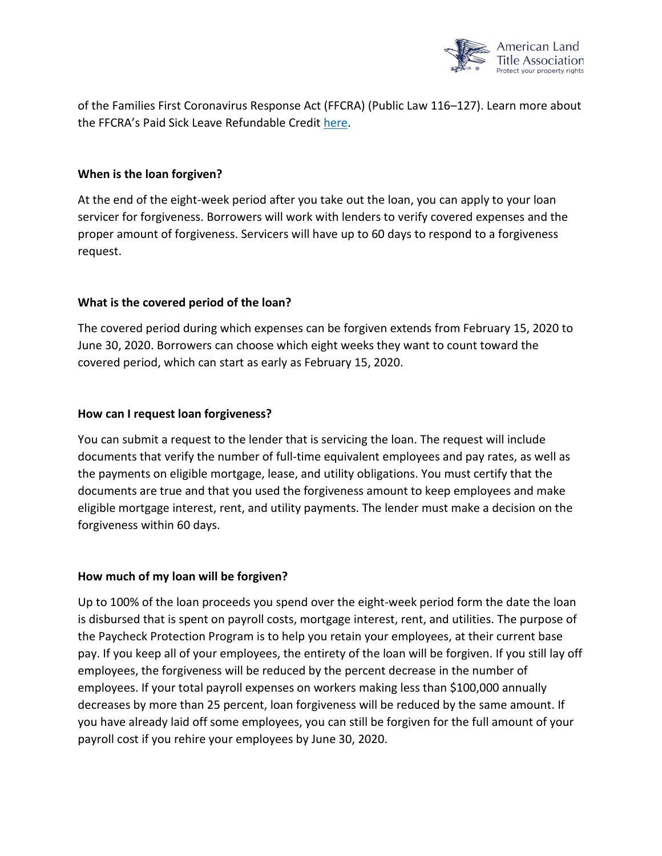

of the Families First Coronavirus Response Act (FFCRA) (Public Law 116–127). Learn more about the FFCRA's Paid Sick Leave Refundable Credit [here.](https://www.irs.gov/newsroom/covid-19-related-tax-credits-for-required-paid-leave-provided-by-small-and-midsize-businesses-faqs)

### **When is the loan forgiven?**

At the end of the eight-week period after you take out the loan, you can apply to your loan servicer for forgiveness. Borrowers will work with lenders to verify covered expenses and the proper amount of forgiveness. Servicers will have up to 60 days to respond to a forgiveness request.

### **What is the covered period of the loan?**

The covered period during which expenses can be forgiven extends from February 15, 2020 to June 30, 2020. Borrowers can choose which eight weeks they want to count toward the covered period, which can start as early as February 15, 2020.

### **How can I request loan forgiveness?**

You can submit a request to the lender that is servicing the loan. The request will include documents that verify the number of full-time equivalent employees and pay rates, as well as the payments on eligible mortgage, lease, and utility obligations. You must certify that the documents are true and that you used the forgiveness amount to keep employees and make eligible mortgage interest, rent, and utility payments. The lender must make a decision on the forgiveness within 60 days.

#### **How much of my loan will be forgiven?**

Up to 100% of the loan proceeds you spend over the eight-week period form the date the loan is disbursed that is spent on payroll costs, mortgage interest, rent, and utilities. The purpose of the Paycheck Protection Program is to help you retain your employees, at their current base pay. If you keep all of your employees, the entirety of the loan will be forgiven. If you still lay off employees, the forgiveness will be reduced by the percent decrease in the number of employees. If your total payroll expenses on workers making less than \$100,000 annually decreases by more than 25 percent, loan forgiveness will be reduced by the same amount. If you have already laid off some employees, you can still be forgiven for the full amount of your payroll cost if you rehire your employees by June 30, 2020.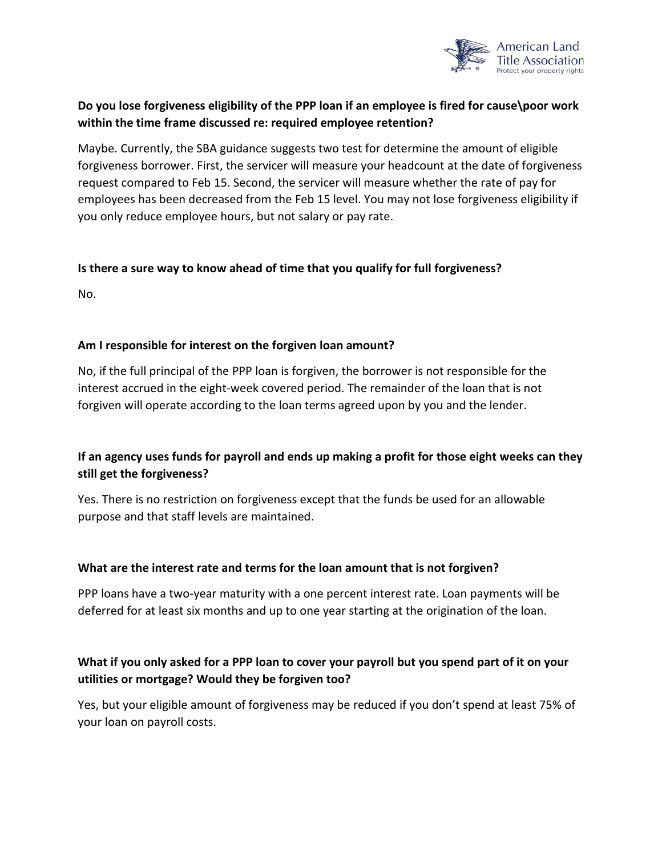

# **Do you lose forgiveness eligibility of the PPP loan if an employee is fired for cause\poor work within the time frame discussed re: required employee retention?**

Maybe. Currently, the SBA guidance suggests two test for determine the amount of eligible forgiveness borrower. First, the servicer will measure your headcount at the date of forgiveness request compared to Feb 15. Second, the servicer will measure whether the rate of pay for employees has been decreased from the Feb 15 level. You may not lose forgiveness eligibility if you only reduce employee hours, but not salary or pay rate.

### **Is there a sure way to know ahead of time that you qualify for full forgiveness?**

No.

### **Am I responsible for interest on the forgiven loan amount?**

No, if the full principal of the PPP loan is forgiven, the borrower is not responsible for the interest accrued in the eight-week covered period. The remainder of the loan that is not forgiven will operate according to the loan terms agreed upon by you and the lender.

## **If an agency uses funds for payroll and ends up making a profit for those eight weeks can they still get the forgiveness?**

Yes. There is no restriction on forgiveness except that the funds be used for an allowable purpose and that staff levels are maintained.

#### **What are the interest rate and terms for the loan amount that is not forgiven?**

PPP loans have a two-year maturity with a one percent interest rate. Loan payments will be deferred for at least six months and up to one year starting at the origination of the loan.

## **What if you only asked for a PPP loan to cover your payroll but you spend part of it on your utilities or mortgage? Would they be forgiven too?**

Yes, but your eligible amount of forgiveness may be reduced if you don't spend at least 75% of your loan on payroll costs.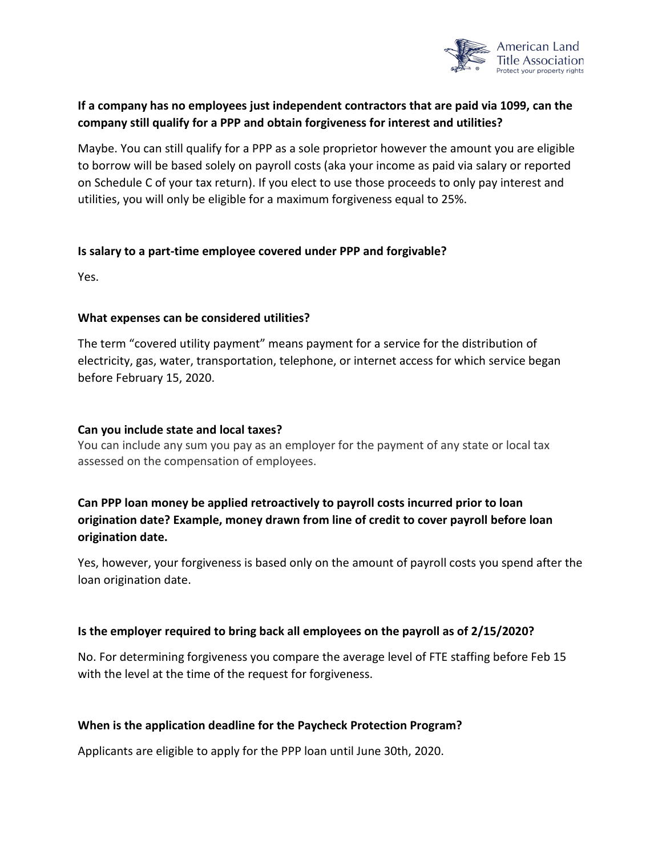

# **If a company has no employees just independent contractors that are paid via 1099, can the company still qualify for a PPP and obtain forgiveness for interest and utilities?**

Maybe. You can still qualify for a PPP as a sole proprietor however the amount you are eligible to borrow will be based solely on payroll costs (aka your income as paid via salary or reported on Schedule C of your tax return). If you elect to use those proceeds to only pay interest and utilities, you will only be eligible for a maximum forgiveness equal to 25%.

#### **Is salary to a part-time employee covered under PPP and forgivable?**

Yes.

### **What expenses can be considered utilities?**

The term "covered utility payment" means payment for a service for the distribution of electricity, gas, water, transportation, telephone, or internet access for which service began before February 15, 2020.

#### **Can you include state and local taxes?**

You can include any sum you pay as an employer for the payment of any state or local tax assessed on the compensation of employees.

# **Can PPP loan money be applied retroactively to payroll costs incurred prior to loan origination date? Example, money drawn from line of credit to cover payroll before loan origination date.**

Yes, however, your forgiveness is based only on the amount of payroll costs you spend after the loan origination date.

#### **Is the employer required to bring back all employees on the payroll as of 2/15/2020?**

No. For determining forgiveness you compare the average level of FTE staffing before Feb 15 with the level at the time of the request for forgiveness.

### **When is the application deadline for the Paycheck Protection Program?**

Applicants are eligible to apply for the PPP loan until June 30th, 2020.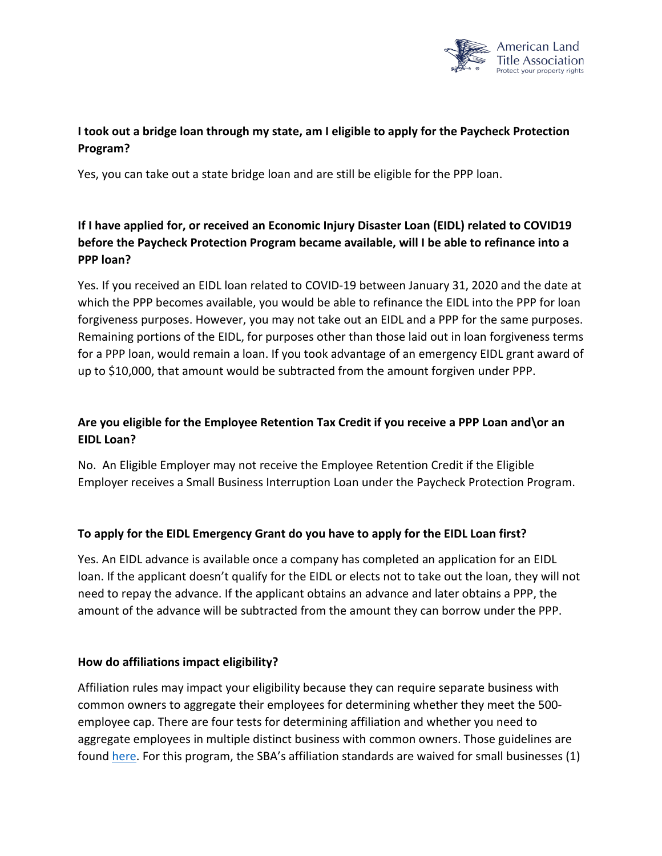

# **I took out a bridge loan through my state, am I eligible to apply for the Paycheck Protection Program?**

Yes, you can take out a state bridge loan and are still be eligible for the PPP loan.

# **If I have applied for, or received an Economic Injury Disaster Loan (EIDL) related to COVID19 before the Paycheck Protection Program became available, will I be able to refinance into a PPP loan?**

Yes. If you received an EIDL loan related to COVID-19 between January 31, 2020 and the date at which the PPP becomes available, you would be able to refinance the EIDL into the PPP for loan forgiveness purposes. However, you may not take out an EIDL and a PPP for the same purposes. Remaining portions of the EIDL, for purposes other than those laid out in loan forgiveness terms for a PPP loan, would remain a loan. If you took advantage of an emergency EIDL grant award of up to \$10,000, that amount would be subtracted from the amount forgiven under PPP.

# **Are you eligible for the Employee Retention Tax Credit if you receive a PPP Loan and\or an EIDL Loan?**

No. An Eligible Employer may not receive the Employee Retention Credit if the Eligible Employer receives a Small Business Interruption Loan under the Paycheck Protection Program.

### **To apply for the EIDL Emergency Grant do you have to apply for the EIDL Loan first?**

Yes. An EIDL advance is available once a company has completed an application for an EIDL loan. If the applicant doesn't qualify for the EIDL or elects not to take out the loan, they will not need to repay the advance. If the applicant obtains an advance and later obtains a PPP, the amount of the advance will be subtracted from the amount they can borrow under the PPP.

#### **How do affiliations impact eligibility?**

Affiliation rules may impact your eligibility because they can require separate business with common owners to aggregate their employees for determining whether they meet the 500 employee cap. There are four tests for determining affiliation and whether you need to aggregate employees in multiple distinct business with common owners. Those guidelines are found [here.](https://www.sba.gov/sites/default/files/2020-04/Affiliation%20rules%20overview%20%28for%20public%29%20v2.pdf) For this program, the SBA's affiliation standards are waived for small businesses (1)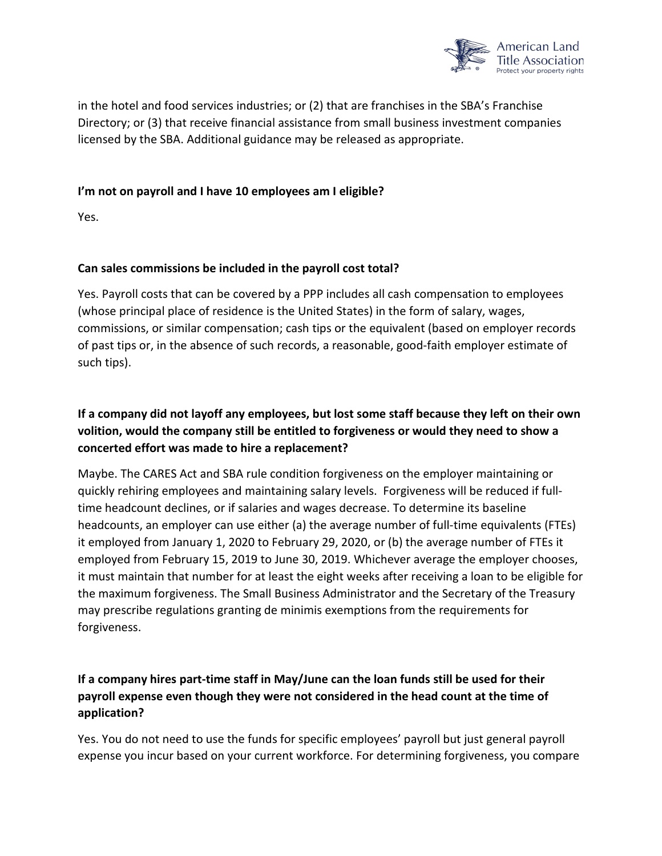

in the hotel and food services industries; or (2) that are franchises in the SBA's Franchise Directory; or (3) that receive financial assistance from small business investment companies licensed by the SBA. Additional guidance may be released as appropriate.

### **I'm not on payroll and I have 10 employees am I eligible?**

Yes.

### **Can sales commissions be included in the payroll cost total?**

Yes. Payroll costs that can be covered by a PPP includes all cash compensation to employees (whose principal place of residence is the United States) in the form of salary, wages, commissions, or similar compensation; cash tips or the equivalent (based on employer records of past tips or, in the absence of such records, a reasonable, good-faith employer estimate of such tips).

# **If a company did not layoff any employees, but lost some staff because they left on their own volition, would the company still be entitled to forgiveness or would they need to show a concerted effort was made to hire a replacement?**

Maybe. The CARES Act and SBA rule condition forgiveness on the employer maintaining or quickly rehiring employees and maintaining salary levels. Forgiveness will be reduced if fulltime headcount declines, or if salaries and wages decrease. To determine its baseline headcounts, an employer can use either (a) the average number of full-time equivalents (FTEs) it employed from January 1, 2020 to February 29, 2020, or (b) the average number of FTEs it employed from February 15, 2019 to June 30, 2019. Whichever average the employer chooses, it must maintain that number for at least the eight weeks after receiving a loan to be eligible for the maximum forgiveness. The Small Business Administrator and the Secretary of the Treasury may prescribe regulations granting de minimis exemptions from the requirements for forgiveness.

# **If a company hires part-time staff in May/June can the loan funds still be used for their payroll expense even though they were not considered in the head count at the time of application?**

Yes. You do not need to use the funds for specific employees' payroll but just general payroll expense you incur based on your current workforce. For determining forgiveness, you compare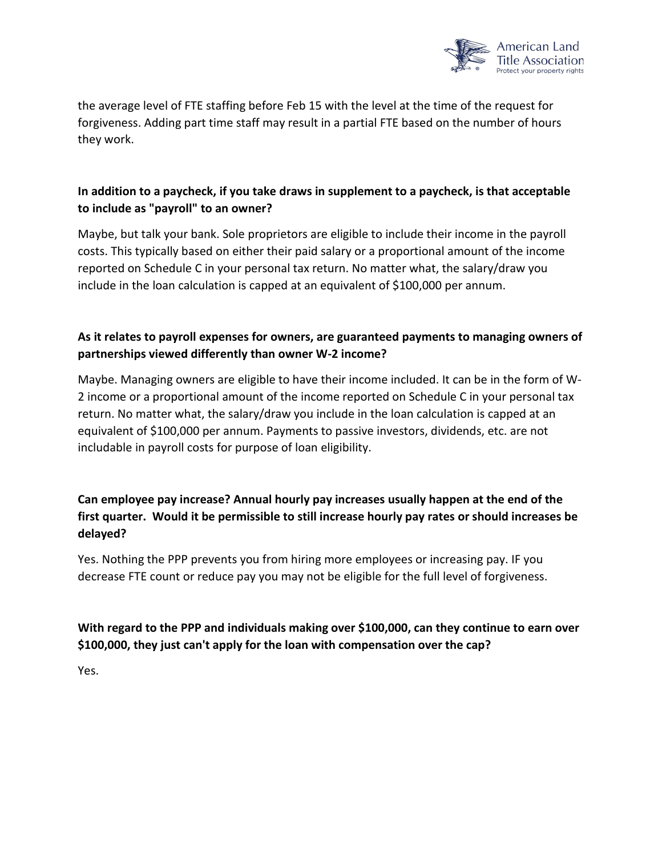

the average level of FTE staffing before Feb 15 with the level at the time of the request for forgiveness. Adding part time staff may result in a partial FTE based on the number of hours they work.

# **In addition to a paycheck, if you take draws in supplement to a paycheck, is that acceptable to include as "payroll" to an owner?**

Maybe, but talk your bank. Sole proprietors are eligible to include their income in the payroll costs. This typically based on either their paid salary or a proportional amount of the income reported on Schedule C in your personal tax return. No matter what, the salary/draw you include in the loan calculation is capped at an equivalent of \$100,000 per annum.

# **As it relates to payroll expenses for owners, are guaranteed payments to managing owners of partnerships viewed differently than owner W-2 income?**

Maybe. Managing owners are eligible to have their income included. It can be in the form of W-2 income or a proportional amount of the income reported on Schedule C in your personal tax return. No matter what, the salary/draw you include in the loan calculation is capped at an equivalent of \$100,000 per annum. Payments to passive investors, dividends, etc. are not includable in payroll costs for purpose of loan eligibility.

# **Can employee pay increase? Annual hourly pay increases usually happen at the end of the first quarter. Would it be permissible to still increase hourly pay rates or should increases be delayed?**

Yes. Nothing the PPP prevents you from hiring more employees or increasing pay. IF you decrease FTE count or reduce pay you may not be eligible for the full level of forgiveness.

# **With regard to the PPP and individuals making over \$100,000, can they continue to earn over \$100,000, they just can't apply for the loan with compensation over the cap?**

Yes.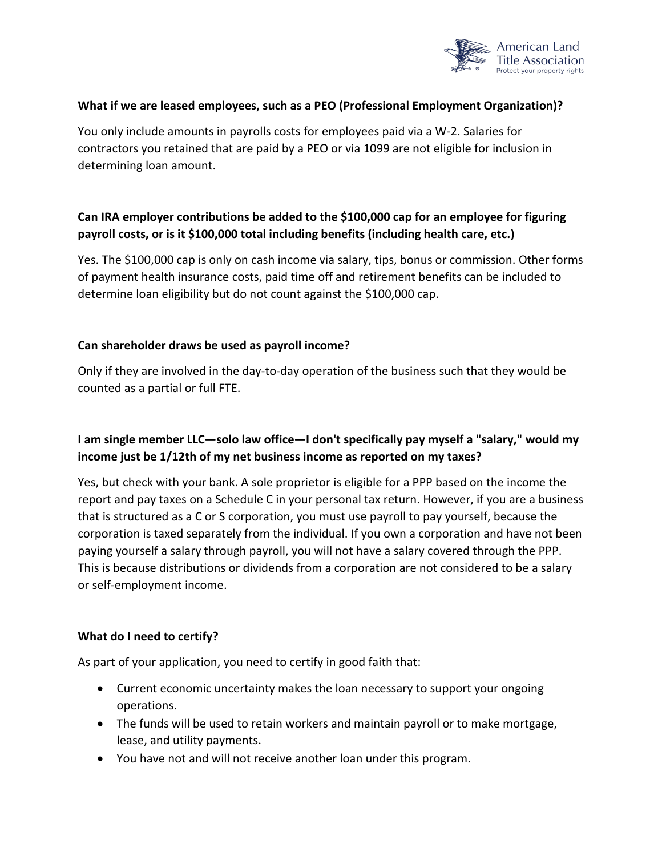

#### **What if we are leased employees, such as a PEO (Professional Employment Organization)?**

You only include amounts in payrolls costs for employees paid via a W-2. Salaries for contractors you retained that are paid by a PEO or via 1099 are not eligible for inclusion in determining loan amount.

# **Can IRA employer contributions be added to the \$100,000 cap for an employee for figuring payroll costs, or is it \$100,000 total including benefits (including health care, etc.)**

Yes. The \$100,000 cap is only on cash income via salary, tips, bonus or commission. Other forms of payment health insurance costs, paid time off and retirement benefits can be included to determine loan eligibility but do not count against the \$100,000 cap.

#### **Can shareholder draws be used as payroll income?**

Only if they are involved in the day-to-day operation of the business such that they would be counted as a partial or full FTE.

# **I am single member LLC—solo law office—I don't specifically pay myself a "salary," would my income just be 1/12th of my net business income as reported on my taxes?**

Yes, but check with your bank. A sole proprietor is eligible for a PPP based on the income the report and pay taxes on a Schedule C in your personal tax return. However, if you are a business that is structured as a C or S corporation, you must use payroll to pay yourself, because the corporation is taxed separately from the individual. If you own a corporation and have not been paying yourself a salary through payroll, you will not have a salary covered through the PPP. This is because distributions or dividends from a corporation are not considered to be a salary or self-employment income.

#### **What do I need to certify?**

As part of your application, you need to certify in good faith that:

- Current economic uncertainty makes the loan necessary to support your ongoing operations.
- The funds will be used to retain workers and maintain payroll or to make mortgage, lease, and utility payments.
- You have not and will not receive another loan under this program.